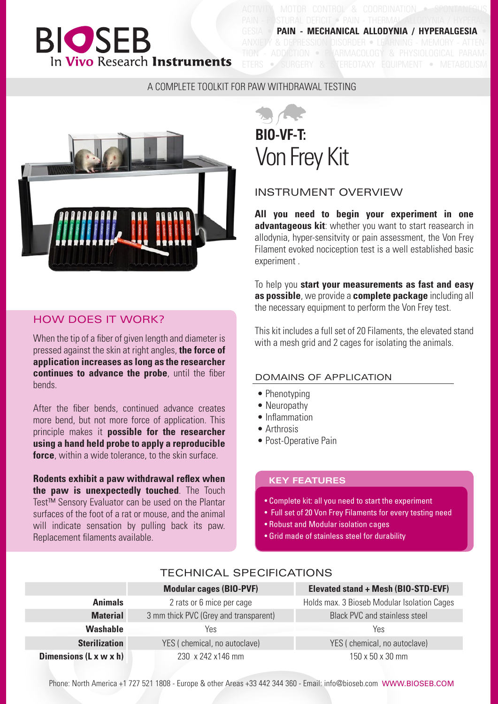## **BIOSEB** In Vivo Research Instruments

**DEFICIT • PAIN - THER MECHANICAL ALLODYNIA / HYPERALGESIA** ANXIETY & DEPRESSION DISORDER • LEARNING - MEMORY - ATTEN-ADDICTION · PHARMACOLOGY & PHYSIOLOGICAL PARAM-ETERS • SURGERY & STEREOTAXY EQUIPMENT • METABOLISM

#### A COMPLETE TOOLKIT FOR PAW WITHDRAWAL TESTING



#### HOW DOES IT WORK?

When the tip of a fiber of given length and diameter is pressed against the skin at right angles, **the force of application increases as long as the researcher continues to advance the probe**, until the fiber bends.

After the fiber bends, continued advance creates more bend, but not more force of application. This principle makes it **possible for the researcher using a hand held probe to apply a reproducible force**, within a wide tolerance, to the skin surface.

**Rodents exhibit a paw withdrawal reflex when the paw is unexpectedly touched**. The Touch Test™ Sensory Evaluator can be used on the Plantar surfaces of the foot of a rat or mouse, and the animal will indicate sensation by pulling back its paw. Replacement filaments available.

# **BIO-VF-T:** Von Frey Kit

#### INSTRUMENT OVERVIEW

**All you need to begin your experiment in one advantageous kit**: whether you want to start reasearch in allodynia, hyper-sensitvity or pain assessment, the Von Frey Filament evoked nociception test is a well established basic experiment .

To help you **start your measurements as fast and easy as possible**, we provide a **complete package** including all the necessary equipment to perform the Von Frey test.

This kit includes a full set of 20 Filaments, the elevated stand with a mesh grid and 2 cages for isolating the animals.

#### DOMAINS OF APPLICATION

- Phenotyping
- Neuropathy
- Inflammation
- Arthrosis
- Post-Operative Pain

#### **KEY FEATURES**

- Complete kit: all you need to start the experiment
- Full set of 20 Von Frey Filaments for every testing need
- Robust and Modular isolation cages
- Grid made of stainless steel for durability

#### TECHNICAL SPECIFICATIONS

|                                    | <b>Modular cages (BIO-PVF)</b>        | Elevated stand + Mesh (BIO-STD-EVF)         |  |  |  |  |  |  |
|------------------------------------|---------------------------------------|---------------------------------------------|--|--|--|--|--|--|
| <b>Animals</b>                     | 2 rats or 6 mice per cage             | Holds max. 3 Bioseb Modular Isolation Cages |  |  |  |  |  |  |
| <b>Material</b>                    | 3 mm thick PVC (Grey and transparent) | <b>Black PVC and stainless steel</b>        |  |  |  |  |  |  |
| <b>Washable</b>                    | Yes                                   | Yes                                         |  |  |  |  |  |  |
| <b>Sterilization</b>               | YES (chemical, no autoclave)          | YES (chemical, no autoclave)                |  |  |  |  |  |  |
| Dimensions $(L \times w \times h)$ | 230 x 242 x 146 mm                    | 150 x 50 x 30 mm                            |  |  |  |  |  |  |

Phone: North America +1 727 521 1808 - Europe & other Areas +33 442 344 360 - Email: info@bioseb.com WWW.BIOSEB.COM